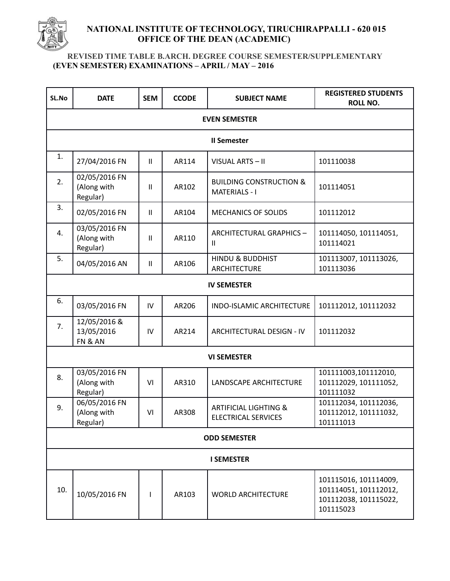

## **NATIONAL INSTITUTE OF TECHNOLOGY, TIRUCHIRAPPALLI - 620 015 OFFICE OF THE DEAN (ACADEMIC)**

## **REVISED TIME TABLE B.ARCH. DEGREE COURSE SEMESTER/SUPPLEMENTARY (EVEN SEMESTER) EXAMINATIONS – APRIL / MAY – 2016**

| SL.No                | <b>DATE</b>                              | <b>SEM</b>    | <b>CCODE</b> | <b>SUBJECT NAME</b>                                            | <b>REGISTERED STUDENTS</b><br><b>ROLL NO.</b>                                        |  |  |  |
|----------------------|------------------------------------------|---------------|--------------|----------------------------------------------------------------|--------------------------------------------------------------------------------------|--|--|--|
| <b>EVEN SEMESTER</b> |                                          |               |              |                                                                |                                                                                      |  |  |  |
| <b>II Semester</b>   |                                          |               |              |                                                                |                                                                                      |  |  |  |
| 1.                   | 27/04/2016 FN                            | $\mathbf{II}$ | AR114        | VISUAL ARTS - II                                               | 101110038                                                                            |  |  |  |
| 2.                   | 02/05/2016 FN<br>(Along with<br>Regular) | $\mathbf{II}$ | AR102        | <b>BUILDING CONSTRUCTION &amp;</b><br><b>MATERIALS - I</b>     | 101114051                                                                            |  |  |  |
| 3.                   | 02/05/2016 FN                            | $\mathbf{II}$ | AR104        | <b>MECHANICS OF SOLIDS</b>                                     | 101112012                                                                            |  |  |  |
| 4.                   | 03/05/2016 FN<br>(Along with<br>Regular) | $\mathbf{II}$ | AR110        | ARCHITECTURAL GRAPHICS-<br>Ш                                   | 101114050, 101114051,<br>101114021                                                   |  |  |  |
| 5.                   | 04/05/2016 AN                            | $\mathbf{II}$ | AR106        | <b>HINDU &amp; BUDDHIST</b><br><b>ARCHITECTURE</b>             | 101113007, 101113026,<br>101113036                                                   |  |  |  |
| <b>IV SEMESTER</b>   |                                          |               |              |                                                                |                                                                                      |  |  |  |
| 6.                   | 03/05/2016 FN                            | IV            | AR206        | INDO-ISLAMIC ARCHITECTURE                                      | 101112012, 101112032                                                                 |  |  |  |
| 7.                   | 12/05/2016 &<br>13/05/2016<br>FN & AN    | IV            | AR214        | ARCHITECTURAL DESIGN - IV                                      | 101112032                                                                            |  |  |  |
| <b>VI SEMESTER</b>   |                                          |               |              |                                                                |                                                                                      |  |  |  |
| 8.                   | 03/05/2016 FN<br>(Along with<br>Regular) | VI            | AR310        | LANDSCAPE ARCHITECTURE                                         | 101111003,101112010,<br>101112029, 101111052,<br>101111032                           |  |  |  |
| 9.                   | 06/05/2016 FN<br>(Along with<br>Regular) | VI            | AR308        | <b>ARTIFICIAL LIGHTING &amp;</b><br><b>ELECTRICAL SERVICES</b> | 101112034, 101112036,<br>101112012, 101111032,<br>101111013                          |  |  |  |
| <b>ODD SEMESTER</b>  |                                          |               |              |                                                                |                                                                                      |  |  |  |
| <b>I SEMESTER</b>    |                                          |               |              |                                                                |                                                                                      |  |  |  |
| 10.                  | 10/05/2016 FN                            | ı             | AR103        | <b>WORLD ARCHITECTURE</b>                                      | 101115016, 101114009,<br>101114051, 101112012,<br>101112038, 101115022,<br>101115023 |  |  |  |